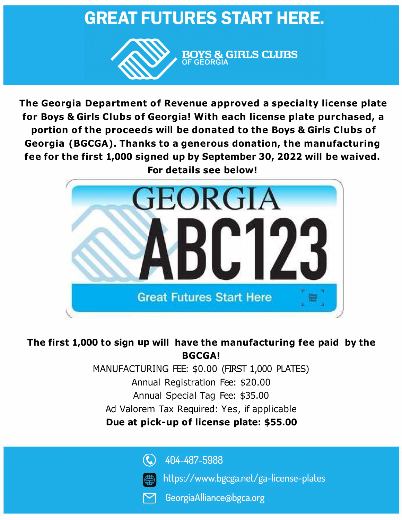# **GREAT FUTURES START HERE.**



**The Georgia Department of Revenue approved a specialty license plate for Boys & Girls Clubs of Georgia! With each license plate purchased, a portion of the proceeds will be donated to the Boys & Girls Clubs of Georgia (BGCGA). Thanks to a generous donation, the manufacturing fee for the first 1,000 signed up by September 30, 2022 will be waived. For details see below!** 



## **The first 1,000 to sign up will have the manufacturing fee paid by the BGCGA!**

MANUFACTURING FEE: \$0.00 (FIRST 1,000 PLATES) Annual Registration Fee: \$20.00 Annual Special Tag Fee: \$35.00 Ad Valorem Tax Required: Yes, if applicable **Due at pick-up of license plate: \$55.00** 

> $\mathbf{C}$ 404-487-5988

- https://www.bgcga.net/ga-license-plates
- GeorgiaAlliance@bgca.org